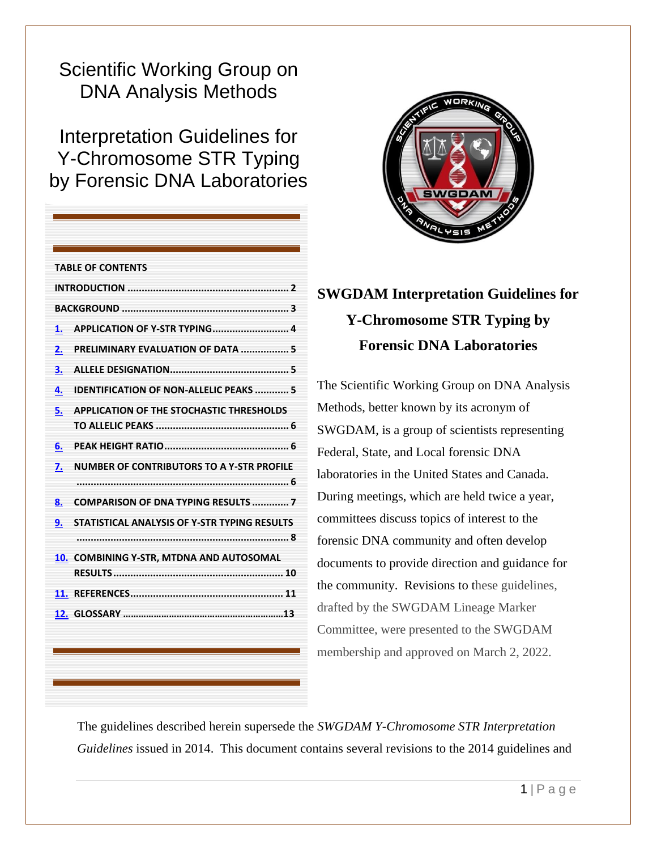# Scientific Working Group on DNA Analysis Methods

Interpretation Guidelines for Y-Chromosome STR Typing by Forensic DNA Laboratories

| <b>TABLE OF CONTENTS</b> |                                                 |  |
|--------------------------|-------------------------------------------------|--|
|                          |                                                 |  |
|                          |                                                 |  |
| 1.                       |                                                 |  |
| 2.                       | PRELIMINARY EVALUATION OF DATA  5               |  |
| 3.                       |                                                 |  |
| 4.                       | <b>IDENTIFICATION OF NON-ALLELIC PEAKS  5</b>   |  |
| 5.                       | <b>APPLICATION OF THE STOCHASTIC THRESHOLDS</b> |  |
|                          |                                                 |  |
| 6.                       |                                                 |  |
| 7.                       | NUMBER OF CONTRIBUTORS TO A Y-STR PROFILE       |  |
|                          |                                                 |  |
| 8.                       | <b>COMPARISON OF DNA TYPING RESULTS  7</b>      |  |
| 9.                       | STATISTICAL ANALYSIS OF Y-STR TYPING RESULTS    |  |
|                          |                                                 |  |
|                          | 10. COMBINING Y-STR, MTDNA AND AUTOSOMAL        |  |
|                          |                                                 |  |
|                          |                                                 |  |
|                          |                                                 |  |



## **SWGDAM Interpretation Guidelines for Y-Chromosome STR Typing by Forensic DNA Laboratories**

The Scientific Working Group on DNA Analysis Methods, better known by its acronym of SWGDAM, is a group of scientists representing Federal, State, and Local forensic DNA laboratories in the United States and Canada. During meetings, which are held twice a year, committees discuss topics of interest to the forensic DNA community and often develop documents to provide direction and guidance for the community. Revisions to these guidelines, drafted by the SWGDAM Lineage Marker Committee, were presented to the SWGDAM membership and approved on March 2, 2022.

The guidelines described herein supersede the *SWGDAM Y-Chromosome STR Interpretation Guidelines* issued in 2014. This document contains several revisions to the 2014 guidelines and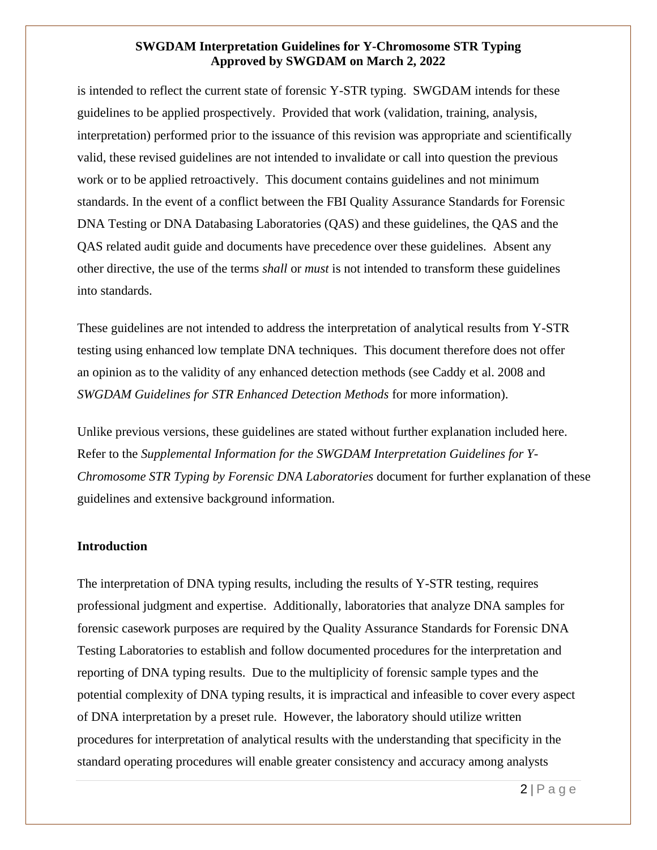is intended to reflect the current state of forensic Y-STR typing. SWGDAM intends for these guidelines to be applied prospectively. Provided that work (validation, training, analysis, interpretation) performed prior to the issuance of this revision was appropriate and scientifically valid, these revised guidelines are not intended to invalidate or call into question the previous work or to be applied retroactively. This document contains guidelines and not minimum standards. In the event of a conflict between the FBI Quality Assurance Standards for Forensic DNA Testing or DNA Databasing Laboratories (QAS) and these guidelines, the QAS and the QAS related audit guide and documents have precedence over these guidelines. Absent any other directive, the use of the terms *shall* or *must* is not intended to transform these guidelines into standards.

These guidelines are not intended to address the interpretation of analytical results from Y-STR testing using enhanced low template DNA techniques. This document therefore does not offer an opinion as to the validity of any enhanced detection methods (see Caddy et al. 2008 and *SWGDAM Guidelines for STR Enhanced Detection Methods* for more information).

Unlike previous versions, these guidelines are stated without further explanation included here. Refer to the *Supplemental Information for the SWGDAM Interpretation Guidelines for Y-Chromosome STR Typing by Forensic DNA Laboratories* document for further explanation of these guidelines and extensive background information.

#### <span id="page-1-0"></span>**Introduction**

The interpretation of DNA typing results, including the results of Y-STR testing, requires professional judgment and expertise. Additionally, laboratories that analyze DNA samples for forensic casework purposes are required by the Quality Assurance Standards for Forensic DNA Testing Laboratories to establish and follow documented procedures for the interpretation and reporting of DNA typing results. Due to the multiplicity of forensic sample types and the potential complexity of DNA typing results, it is impractical and infeasible to cover every aspect of DNA interpretation by a preset rule. However, the laboratory should utilize written procedures for interpretation of analytical results with the understanding that specificity in the standard operating procedures will enable greater consistency and accuracy among analysts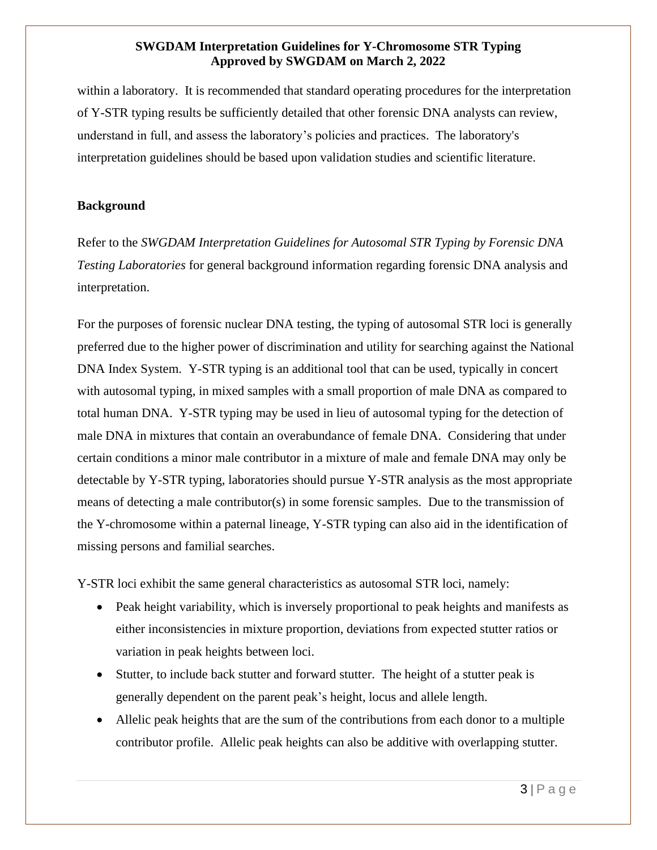within a laboratory. It is recommended that standard operating procedures for the interpretation of Y-STR typing results be sufficiently detailed that other forensic DNA analysts can review, understand in full, and assess the laboratory's policies and practices. The laboratory's interpretation guidelines should be based upon validation studies and scientific literature.

#### <span id="page-2-0"></span>**Background**

Refer to the *SWGDAM Interpretation Guidelines for Autosomal STR Typing by Forensic DNA Testing Laboratories* for general background information regarding forensic DNA analysis and interpretation.

For the purposes of forensic nuclear DNA testing, the typing of autosomal STR loci is generally preferred due to the higher power of discrimination and utility for searching against the National DNA Index System. Y-STR typing is an additional tool that can be used, typically in concert with autosomal typing, in mixed samples with a small proportion of male DNA as compared to total human DNA. Y-STR typing may be used in lieu of autosomal typing for the detection of male DNA in mixtures that contain an overabundance of female DNA. Considering that under certain conditions a minor male contributor in a mixture of male and female DNA may only be detectable by Y-STR typing, laboratories should pursue Y-STR analysis as the most appropriate means of detecting a male contributor(s) in some forensic samples. Due to the transmission of the Y-chromosome within a paternal lineage, Y-STR typing can also aid in the identification of missing persons and familial searches.

Y-STR loci exhibit the same general characteristics as autosomal STR loci, namely:

- Peak height variability, which is inversely proportional to peak heights and manifests as either inconsistencies in mixture proportion, deviations from expected stutter ratios or variation in peak heights between loci.
- Stutter, to include back stutter and forward stutter. The height of a stutter peak is generally dependent on the parent peak's height, locus and allele length.
- Allelic peak heights that are the sum of the contributions from each donor to a multiple contributor profile. Allelic peak heights can also be additive with overlapping stutter.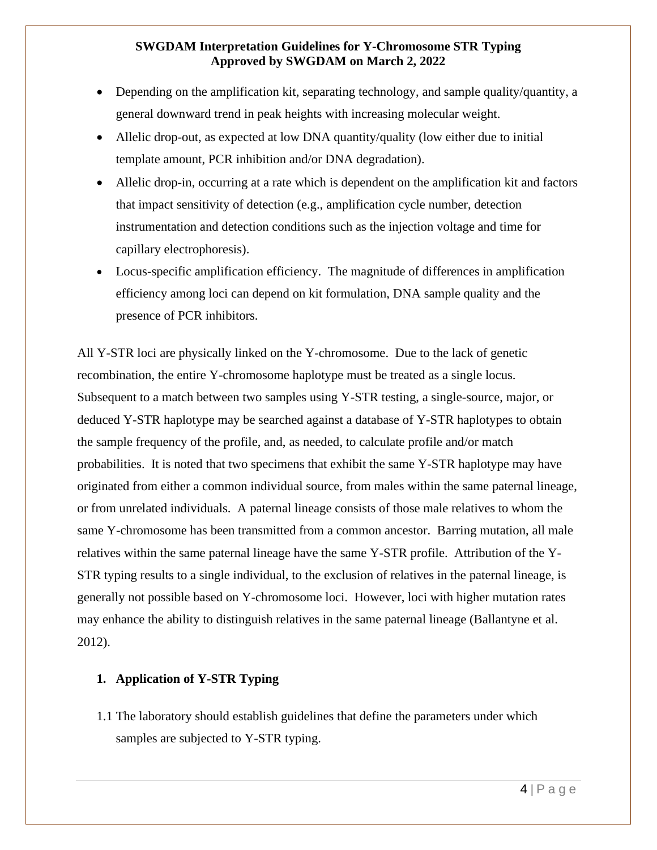- Depending on the amplification kit, separating technology, and sample quality/quantity, a general downward trend in peak heights with increasing molecular weight.
- Allelic drop-out, as expected at low DNA quantity/quality (low either due to initial template amount, PCR inhibition and/or DNA degradation).
- Allelic drop-in, occurring at a rate which is dependent on the amplification kit and factors that impact sensitivity of detection (e.g., amplification cycle number, detection instrumentation and detection conditions such as the injection voltage and time for capillary electrophoresis).
- Locus-specific amplification efficiency. The magnitude of differences in amplification efficiency among loci can depend on kit formulation, DNA sample quality and the presence of PCR inhibitors.

All Y-STR loci are physically linked on the Y-chromosome. Due to the lack of genetic recombination, the entire Y-chromosome haplotype must be treated as a single locus. Subsequent to a match between two samples using Y-STR testing, a single-source, major, or deduced Y-STR haplotype may be searched against a database of Y-STR haplotypes to obtain the sample frequency of the profile, and, as needed, to calculate profile and/or match probabilities. It is noted that two specimens that exhibit the same Y-STR haplotype may have originated from either a common individual source, from males within the same paternal lineage, or from unrelated individuals. A paternal lineage consists of those male relatives to whom the same Y-chromosome has been transmitted from a common ancestor. Barring mutation, all male relatives within the same paternal lineage have the same Y-STR profile. Attribution of the Y-STR typing results to a single individual, to the exclusion of relatives in the paternal lineage, is generally not possible based on Y-chromosome loci. However, loci with higher mutation rates may enhance the ability to distinguish relatives in the same paternal lineage (Ballantyne et al. 2012).

#### <span id="page-3-0"></span>**1. Application of Y-STR Typing**

1.1 The laboratory should establish guidelines that define the parameters under which samples are subjected to Y-STR typing.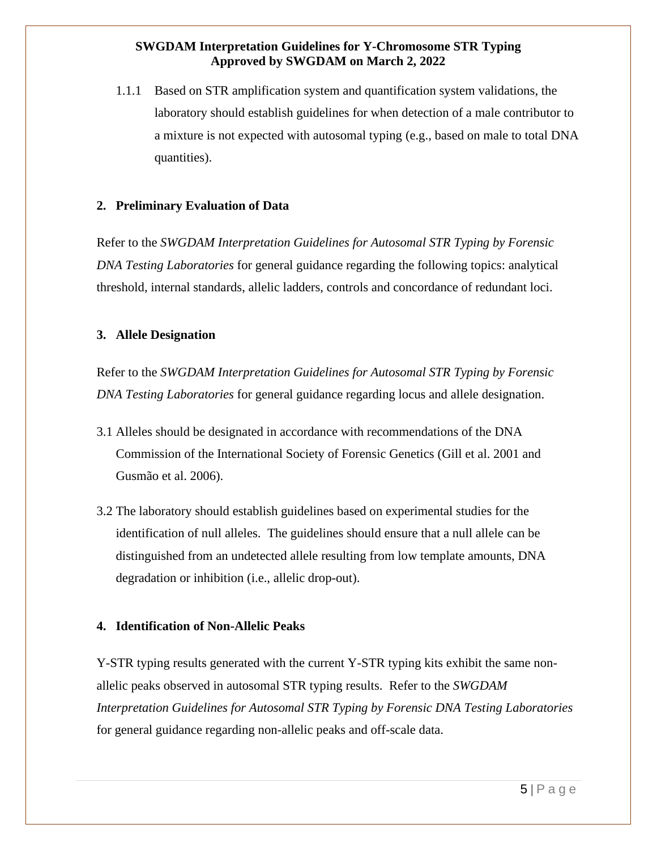1.1.1 Based on STR amplification system and quantification system validations, the laboratory should establish guidelines for when detection of a male contributor to a mixture is not expected with autosomal typing (e.g., based on male to total DNA quantities).

#### <span id="page-4-0"></span>**2. Preliminary Evaluation of Data**

Refer to the *SWGDAM Interpretation Guidelines for Autosomal STR Typing by Forensic DNA Testing Laboratories* for general guidance regarding the following topics: analytical threshold, internal standards, allelic ladders, controls and concordance of redundant loci.

#### <span id="page-4-1"></span>**3. Allele Designation**

Refer to the *SWGDAM Interpretation Guidelines for Autosomal STR Typing by Forensic DNA Testing Laboratories* for general guidance regarding locus and allele designation.

- 3.1 Alleles should be designated in accordance with recommendations of the DNA Commission of the International Society of Forensic Genetics (Gill et al. 2001 and Gusmão et al. 2006).
- 3.2 The laboratory should establish guidelines based on experimental studies for the identification of null alleles. The guidelines should ensure that a null allele can be distinguished from an undetected allele resulting from low template amounts, DNA degradation or inhibition (i.e., allelic drop-out).

#### <span id="page-4-2"></span>**4. Identification of Non-Allelic Peaks**

Y-STR typing results generated with the current Y-STR typing kits exhibit the same nonallelic peaks observed in autosomal STR typing results. Refer to the *SWGDAM Interpretation Guidelines for Autosomal STR Typing by Forensic DNA Testing Laboratories* for general guidance regarding non-allelic peaks and off-scale data.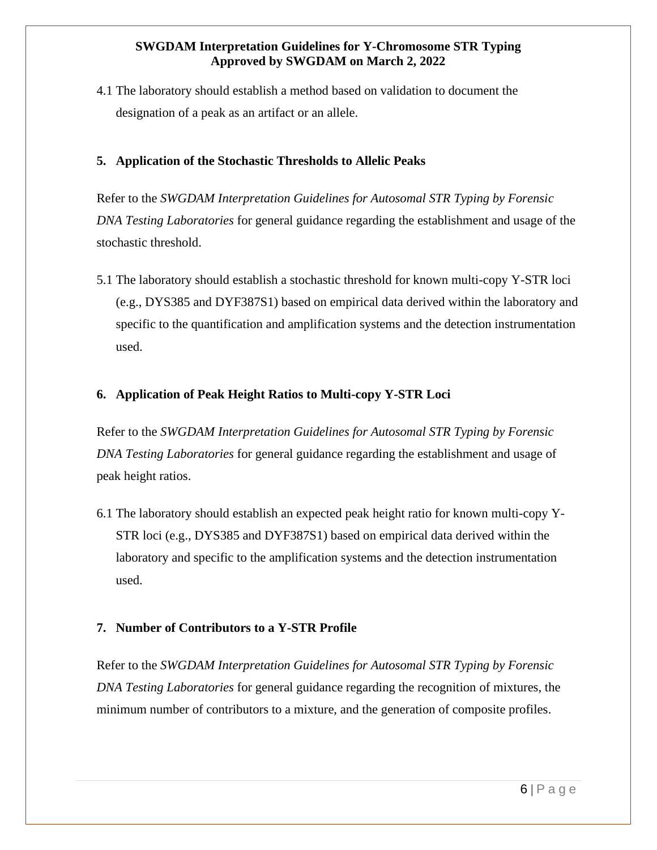4.1 The laboratory should establish a method based on validation to document the designation of a peak as an artifact or an allele.

#### <span id="page-5-0"></span>**5. Application of the Stochastic Thresholds to Allelic Peaks**

Refer to the *SWGDAM Interpretation Guidelines for Autosomal STR Typing by Forensic DNA Testing Laboratories* for general guidance regarding the establishment and usage of the stochastic threshold.

5.1 The laboratory should establish a stochastic threshold for known multi-copy Y-STR loci (e.g., DYS385 and DYF387S1) based on empirical data derived within the laboratory and specific to the quantification and amplification systems and the detection instrumentation used.

#### <span id="page-5-1"></span>**6. Application of Peak Height Ratios to Multi-copy Y-STR Loci**

Refer to the *SWGDAM Interpretation Guidelines for Autosomal STR Typing by Forensic DNA Testing Laboratories* for general guidance regarding the establishment and usage of peak height ratios.

6.1 The laboratory should establish an expected peak height ratio for known multi-copy Y-STR loci (e.g., DYS385 and DYF387S1) based on empirical data derived within the laboratory and specific to the amplification systems and the detection instrumentation used.

### <span id="page-5-2"></span>**7. Number of Contributors to a Y-STR Profile**

Refer to the *SWGDAM Interpretation Guidelines for Autosomal STR Typing by Forensic DNA Testing Laboratories* for general guidance regarding the recognition of mixtures, the minimum number of contributors to a mixture, and the generation of composite profiles.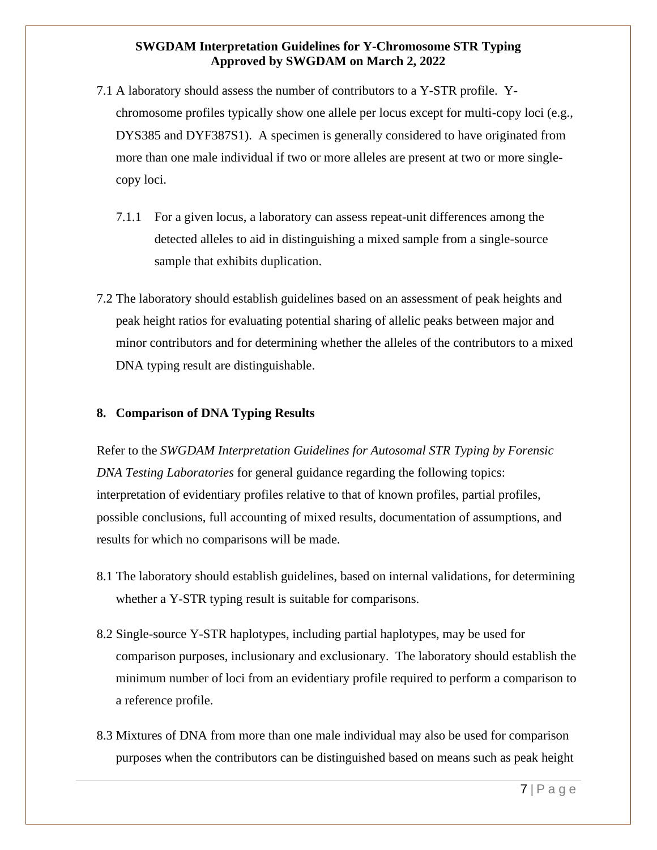- 7.1 A laboratory should assess the number of contributors to a Y-STR profile. Ychromosome profiles typically show one allele per locus except for multi-copy loci (e.g., DYS385 and DYF387S1). A specimen is generally considered to have originated from more than one male individual if two or more alleles are present at two or more singlecopy loci.
	- 7.1.1 For a given locus, a laboratory can assess repeat-unit differences among the detected alleles to aid in distinguishing a mixed sample from a single-source sample that exhibits duplication.
- 7.2 The laboratory should establish guidelines based on an assessment of peak heights and peak height ratios for evaluating potential sharing of allelic peaks between major and minor contributors and for determining whether the alleles of the contributors to a mixed DNA typing result are distinguishable.

#### <span id="page-6-0"></span>**8. Comparison of DNA Typing Results**

Refer to the *SWGDAM Interpretation Guidelines for Autosomal STR Typing by Forensic DNA Testing Laboratories* for general guidance regarding the following topics: interpretation of evidentiary profiles relative to that of known profiles, partial profiles, possible conclusions, full accounting of mixed results, documentation of assumptions, and results for which no comparisons will be made.

- 8.1 The laboratory should establish guidelines, based on internal validations, for determining whether a Y-STR typing result is suitable for comparisons.
- 8.2 Single-source Y-STR haplotypes, including partial haplotypes, may be used for comparison purposes, inclusionary and exclusionary. The laboratory should establish the minimum number of loci from an evidentiary profile required to perform a comparison to a reference profile.
- 8.3 Mixtures of DNA from more than one male individual may also be used for comparison purposes when the contributors can be distinguished based on means such as peak height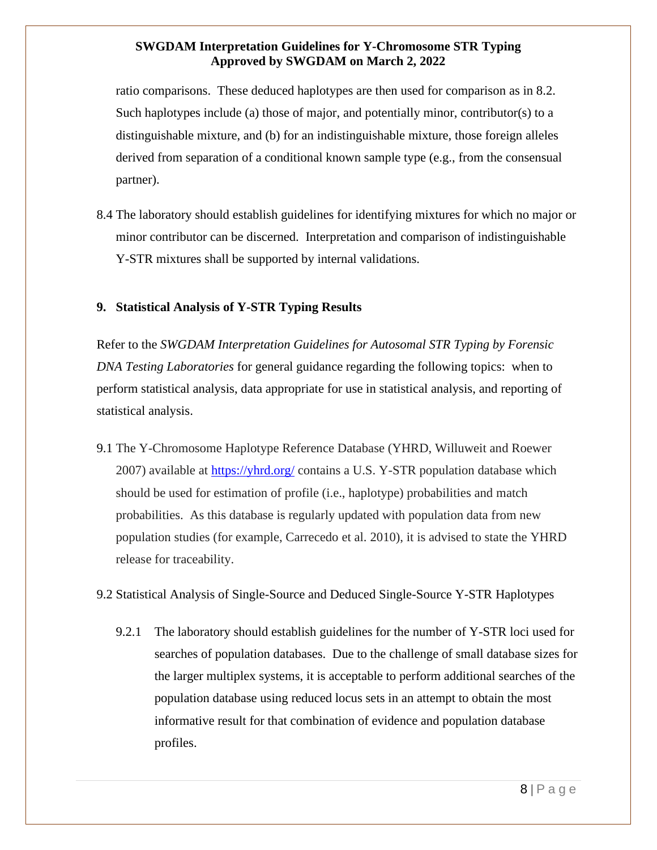ratio comparisons. These deduced haplotypes are then used for comparison as in 8.2. Such haplotypes include (a) those of major, and potentially minor, contributor(s) to a distinguishable mixture, and (b) for an indistinguishable mixture, those foreign alleles derived from separation of a conditional known sample type (e.g., from the consensual partner).

8.4 The laboratory should establish guidelines for identifying mixtures for which no major or minor contributor can be discerned. Interpretation and comparison of indistinguishable Y-STR mixtures shall be supported by internal validations.

#### <span id="page-7-0"></span>**9. Statistical Analysis of Y-STR Typing Results**

Refer to the *SWGDAM Interpretation Guidelines for Autosomal STR Typing by Forensic DNA Testing Laboratories* for general guidance regarding the following topics: when to perform statistical analysis, data appropriate for use in statistical analysis, and reporting of statistical analysis.

9.1 The Y-Chromosome Haplotype Reference Database (YHRD, Willuweit and Roewer 2007) available at <https://yhrd.org/> contains a U.S. Y-STR population database which should be used for estimation of profile (i.e., haplotype) probabilities and match probabilities. As this database is regularly updated with population data from new population studies (for example, Carrecedo et al. 2010), it is advised to state the YHRD release for traceability.

#### 9.2 Statistical Analysis of Single-Source and Deduced Single-Source Y-STR Haplotypes

9.2.1 The laboratory should establish guidelines for the number of Y-STR loci used for searches of population databases. Due to the challenge of small database sizes for the larger multiplex systems, it is acceptable to perform additional searches of the population database using reduced locus sets in an attempt to obtain the most informative result for that combination of evidence and population database profiles.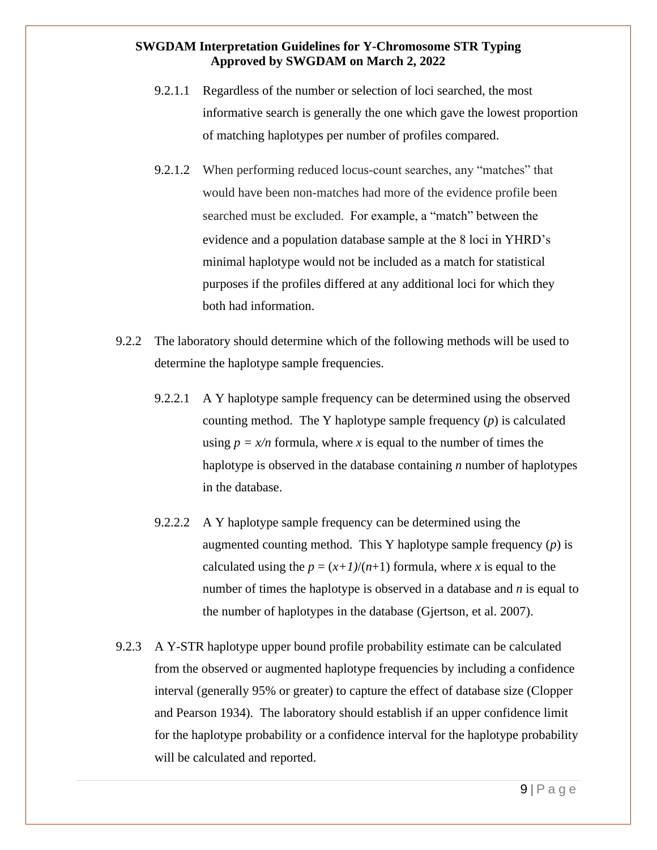- 9.2.1.1 Regardless of the number or selection of loci searched, the most informative search is generally the one which gave the lowest proportion of matching haplotypes per number of profiles compared.
- 9.2.1.2 When performing reduced locus-count searches, any "matches" that would have been non-matches had more of the evidence profile been searched must be excluded. For example, a "match" between the evidence and a population database sample at the 8 loci in YHRD's minimal haplotype would not be included as a match for statistical purposes if the profiles differed at any additional loci for which they both had information.
- 9.2.2 The laboratory should determine which of the following methods will be used to determine the haplotype sample frequencies.
	- 9.2.2.1 A Y haplotype sample frequency can be determined using the observed counting method. The Y haplotype sample frequency (*p*) is calculated using  $p = x/n$  formula, where x is equal to the number of times the haplotype is observed in the database containing *n* number of haplotypes in the database.
	- 9.2.2.2 A Y haplotype sample frequency can be determined using the augmented counting method. This Y haplotype sample frequency (*p*) is calculated using the  $p = (x+1)/(n+1)$  formula, where *x* is equal to the number of times the haplotype is observed in a database and *n* is equal to the number of haplotypes in the database (Gjertson, et al. 2007).
- 9.2.3 A Y-STR haplotype upper bound profile probability estimate can be calculated from the observed or augmented haplotype frequencies by including a confidence interval (generally 95% or greater) to capture the effect of database size (Clopper and Pearson 1934). The laboratory should establish if an upper confidence limit for the haplotype probability or a confidence interval for the haplotype probability will be calculated and reported.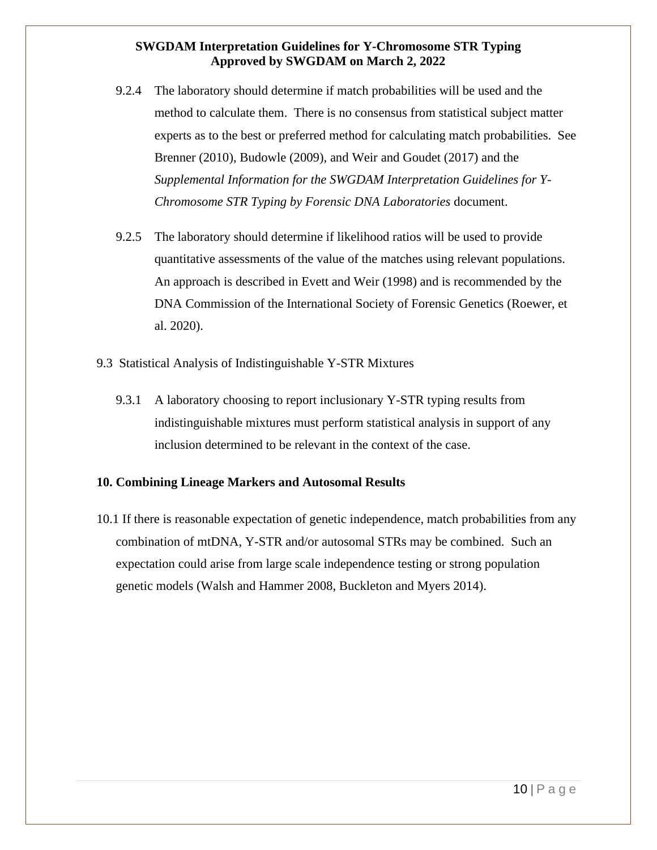- 9.2.4 The laboratory should determine if match probabilities will be used and the method to calculate them. There is no consensus from statistical subject matter experts as to the best or preferred method for calculating match probabilities. See Brenner (2010), Budowle (2009), and Weir and Goudet (2017) and the *Supplemental Information for the SWGDAM Interpretation Guidelines for Y-Chromosome STR Typing by Forensic DNA Laboratories* document.
- 9.2.5 The laboratory should determine if likelihood ratios will be used to provide quantitative assessments of the value of the matches using relevant populations. An approach is described in Evett and Weir (1998) and is recommended by the DNA Commission of the International Society of Forensic Genetics (Roewer, et al. 2020).
- 9.3 Statistical Analysis of Indistinguishable Y-STR Mixtures
	- 9.3.1 A laboratory choosing to report inclusionary Y-STR typing results from indistinguishable mixtures must perform statistical analysis in support of any inclusion determined to be relevant in the context of the case.

#### <span id="page-9-0"></span>**10. Combining Lineage Markers and Autosomal Results**

<span id="page-9-1"></span>10.1 If there is reasonable expectation of genetic independence, match probabilities from any combination of mtDNA, Y-STR and/or autosomal STRs may be combined. Such an expectation could arise from large scale independence testing or strong population genetic models (Walsh and Hammer 2008, Buckleton and Myers 2014).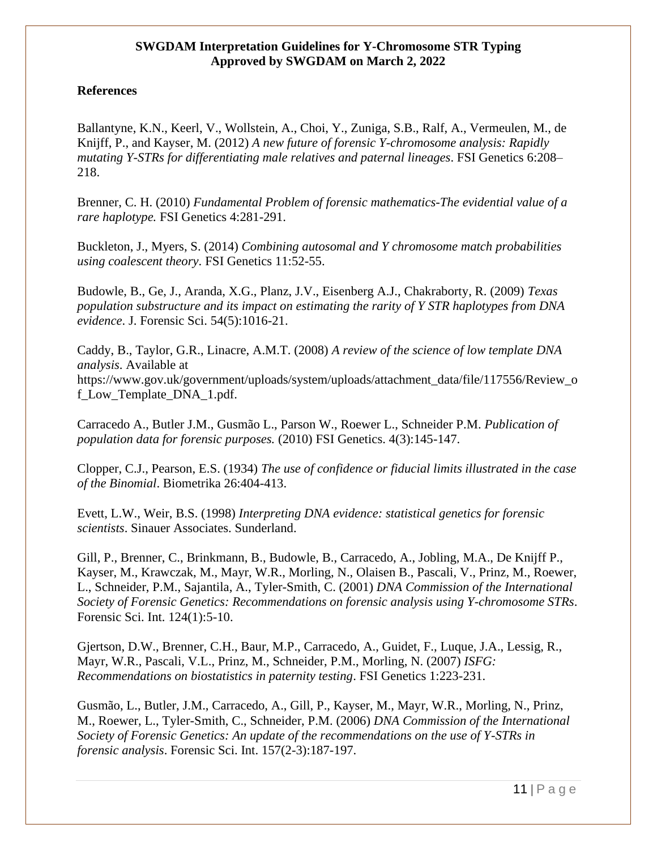#### **References**

Ballantyne, K.N., Keerl, V., Wollstein, A., Choi, Y., Zuniga, S.B., Ralf, A., Vermeulen, M., de Knijff, P., and Kayser, M. (2012) *A new future of forensic Y-chromosome analysis: Rapidly mutating Y-STRs for differentiating male relatives and paternal lineages*. FSI Genetics 6:208– 218.

Brenner, C. H. (2010) *Fundamental Problem of forensic mathematics-The evidential value of a rare haplotype.* FSI Genetics 4:281-291.

Buckleton, J., Myers, S. (2014) *Combining autosomal and Y chromosome match probabilities using coalescent theory*. FSI Genetics 11:52-55.

Budowle, B., Ge, J., Aranda, X.G., Planz, J.V., Eisenberg A.J., Chakraborty, R. (2009) *Texas population substructure and its impact on estimating the rarity of Y STR haplotypes from DNA evidence*. J. Forensic Sci. 54(5):1016-21.

Caddy, B., Taylor, G.R., Linacre, A.M.T. (2008) *A review of the science of low template DNA analysis*. Available at https://www.gov.uk/government/uploads/system/uploads/attachment\_data/file/117556/Review\_o f\_Low\_Template\_DNA\_1.pdf.

Carracedo A., Butler J.M., Gusmão L., Parson W., Roewer L., Schneider P.M. *Publication of population data for forensic purposes.* (2010) FSI Genetics. 4(3):145-147.

Clopper, C.J., Pearson, E.S. (1934) *The use of confidence or fiducial limits illustrated in the case of the Binomial*. Biometrika 26:404-413.

Evett, L.W., Weir, B.S. (1998) *Interpreting DNA evidence: statistical genetics for forensic scientists*. Sinauer Associates. Sunderland.

Gill, P., Brenner, C., Brinkmann, B., Budowle, B., Carracedo, A., Jobling, M.A., De Knijff P., Kayser, M., Krawczak, M., Mayr, W.R., Morling, N., Olaisen B., Pascali, V., Prinz, M., Roewer, L., Schneider, P.M., Sajantila, A., Tyler-Smith, C. (2001) *DNA Commission of the International Society of Forensic Genetics: Recommendations on forensic analysis using Y-chromosome STRs*. Forensic Sci. Int. 124(1):5-10.

Gjertson, D.W., Brenner, C.H., Baur, M.P., Carracedo, A., Guidet, F., Luque, J.A., Lessig, R., Mayr, W.R., Pascali, V.L., Prinz, M., Schneider, P.M., Morling, N. (2007) *ISFG: Recommendations on biostatistics in paternity testing*. FSI Genetics 1:223-231.

Gusmão, L., Butler, J.M., Carracedo, A., Gill, P., Kayser, M., Mayr, W.R., Morling, N., Prinz, M., Roewer, L., Tyler-Smith, C., Schneider, P.M. (2006) *DNA Commission of the International Society of Forensic Genetics: An update of the recommendations on the use of Y-STRs in forensic analysis*. Forensic Sci. Int. 157(2-3):187-197.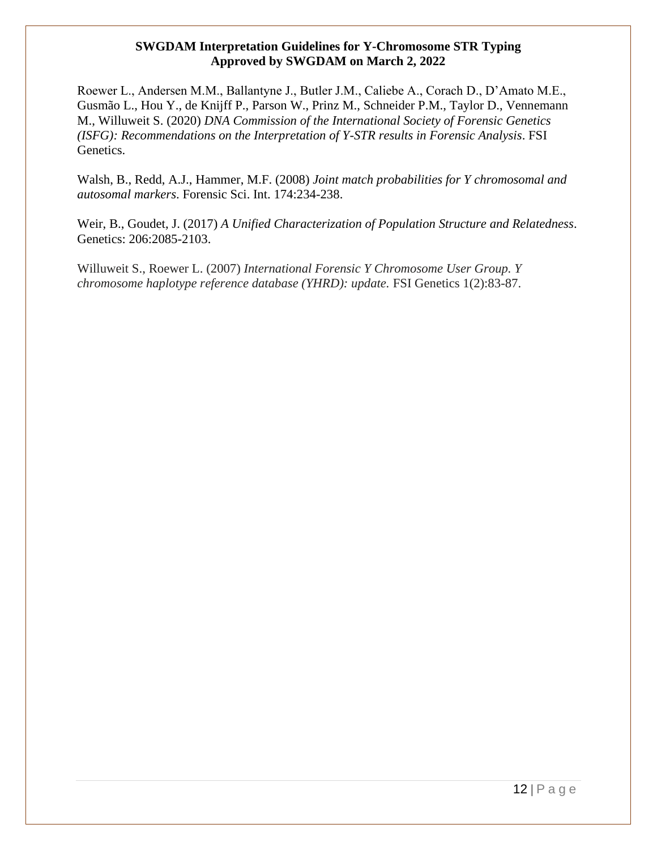Roewer L., Andersen M.M., Ballantyne J., Butler J.M., Caliebe A., Corach D., D'Amato M.E., Gusmão L., Hou Y., de Knijff P., Parson W., Prinz M., Schneider P.M., Taylor D., Vennemann M., Willuweit S. (2020) *DNA Commission of the International Society of Forensic Genetics (ISFG): Recommendations on the Interpretation of Y-STR results in Forensic Analysis*. FSI Genetics.

Walsh, B., Redd, A.J., Hammer, M.F. (2008) *Joint match probabilities for Y chromosomal and autosomal markers*. Forensic Sci. Int. 174:234-238.

Weir, B., Goudet, J. (2017) *A Unified Characterization of Population Structure and Relatedness*. Genetics: 206:2085-2103.

Willuweit S., Roewer L. (2007) *International Forensic Y Chromosome User Group. Y chromosome haplotype reference database (YHRD): update.* FSI Genetics 1(2):83-87.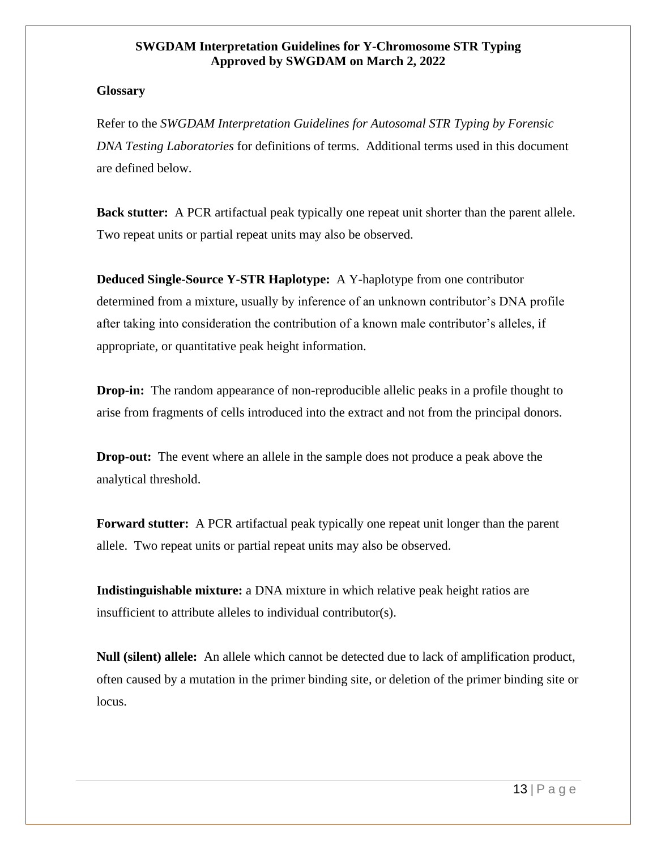#### **Glossary**

Refer to the *SWGDAM Interpretation Guidelines for Autosomal STR Typing by Forensic DNA Testing Laboratories* for definitions of terms. Additional terms used in this document are defined below.

**Back stutter:** A PCR artifactual peak typically one repeat unit shorter than the parent allele. Two repeat units or partial repeat units may also be observed.

**Deduced Single-Source Y-STR Haplotype:** A Y-haplotype from one contributor determined from a mixture, usually by inference of an unknown contributor's DNA profile after taking into consideration the contribution of a known male contributor's alleles, if appropriate, or quantitative peak height information.

**Drop-in:** The random appearance of non-reproducible allelic peaks in a profile thought to arise from fragments of cells introduced into the extract and not from the principal donors.

**Drop-out:** The event where an allele in the sample does not produce a peak above the analytical threshold.

**Forward stutter:** A PCR artifactual peak typically one repeat unit longer than the parent allele. Two repeat units or partial repeat units may also be observed.

**Indistinguishable mixture:** a DNA mixture in which relative peak height ratios are insufficient to attribute alleles to individual contributor(s).

**Null (silent) allele:** An allele which cannot be detected due to lack of amplification product, often caused by a mutation in the primer binding site, or deletion of the primer binding site or locus.